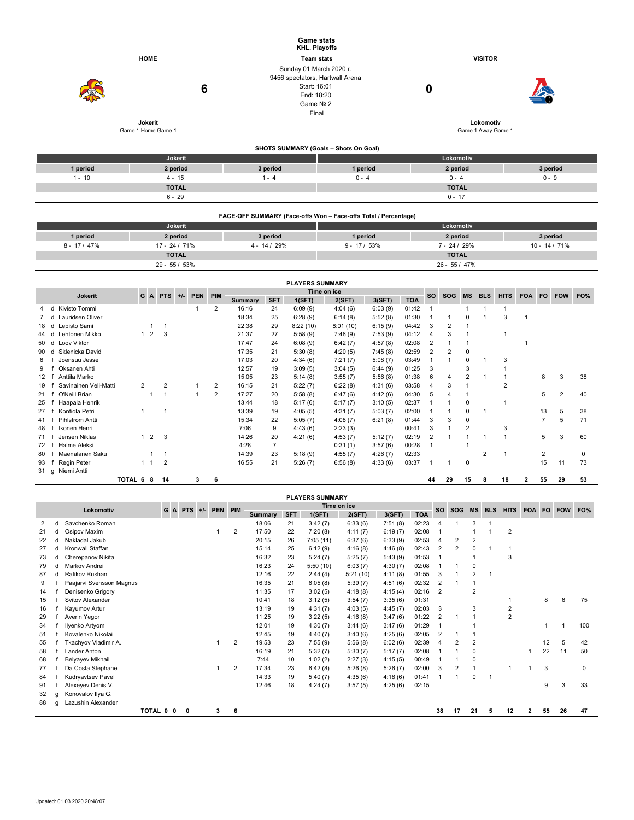|          |                    |                                                                                                                | <b>Game stats</b><br>KHL. Playoffs                              |                    |          |  |  |  |  |
|----------|--------------------|----------------------------------------------------------------------------------------------------------------|-----------------------------------------------------------------|--------------------|----------|--|--|--|--|
|          | <b>HOME</b>        |                                                                                                                | <b>Team stats</b>                                               | <b>VISITOR</b>     |          |  |  |  |  |
|          | 6                  | Sunday 01 March 2020 r.<br>9456 spectators, Hartwall Arena<br>Start: 16:01<br>End: 18:20<br>Game Nº 2<br>Final |                                                                 |                    |          |  |  |  |  |
|          | Jokerit            |                                                                                                                | Lokomotiv                                                       |                    |          |  |  |  |  |
|          | Game 1 Home Game 1 | Game 1 Away Game 1                                                                                             |                                                                 |                    |          |  |  |  |  |
|          |                    |                                                                                                                | SHOTS SUMMARY (Goals - Shots On Goal)                           |                    |          |  |  |  |  |
|          | Jokerit            |                                                                                                                |                                                                 | Lokomotiv          |          |  |  |  |  |
| 1 period | 2 period           | 3 period                                                                                                       | 1 period                                                        | 2 period           | 3 period |  |  |  |  |
| $1 - 10$ | $4 - 15$           | $1 - 4$                                                                                                        | $0 - 4$                                                         | $0 - 9$<br>$0 - 4$ |          |  |  |  |  |
|          | <b>TOTAL</b>       |                                                                                                                |                                                                 | <b>TOTAL</b>       |          |  |  |  |  |
|          | $6 - 29$           |                                                                                                                |                                                                 | $0 - 17$           |          |  |  |  |  |
|          |                    |                                                                                                                | FACE-OFF SUMMARY (Face-offs Won - Face-offs Total / Percentage) |                    |          |  |  |  |  |

|               | <b>Jokerit</b> |                | Lokomotiv      |                 |               |  |  |  |  |  |  |  |
|---------------|----------------|----------------|----------------|-----------------|---------------|--|--|--|--|--|--|--|
| 1 period      | 2 period       | 3 period       | 1 period       | 2 period        | 3 period      |  |  |  |  |  |  |  |
| $8 - 17/47\%$ | 17 - 24 / 71%  | $4 - 14 / 29%$ | $9 - 17 / 53%$ | $7 - 24 / 29%$  | 10 - 14 / 71% |  |  |  |  |  |  |  |
|               | <b>TOTAL</b>   |                |                | <b>TOTAL</b>    |               |  |  |  |  |  |  |  |
|               | 29 - 55 / 53%  |                |                | $26 - 55 / 47%$ |               |  |  |  |  |  |  |  |

|                   | <b>PLAYERS SUMMARY</b>                               |           |                |                |  |   |                |         |                |          |          |         |            |                |                |                |             |                |   |                |                |    |
|-------------------|------------------------------------------------------|-----------|----------------|----------------|--|---|----------------|---------|----------------|----------|----------|---------|------------|----------------|----------------|----------------|-------------|----------------|---|----------------|----------------|----|
|                   | Time on ice<br><b>PEN</b><br>PIM<br>G A PTS<br>$+/-$ |           |                |                |  |   |                |         |                |          |          |         | <b>SO</b>  | <b>SOG</b>     | <b>MS</b>      | <b>BLS</b>     | <b>HITS</b> | FOA FO         |   | <b>FOW</b>     | FO%            |    |
|                   | <b>Jokerit</b>                                       |           |                |                |  |   |                | Summary | <b>SFT</b>     | 1(SFT)   | 2(SFT)   | 3(SFT)  | <b>TOA</b> |                |                |                |             |                |   |                |                |    |
| 4                 | Kivisto Tommi<br>d                                   |           |                |                |  |   | 2              | 16:16   | 24             | 6:09(9)  | 4:04(6)  | 6:03(9) | 01:42      |                |                |                |             |                |   |                |                |    |
|                   | Lauridsen Oliver<br>d                                |           |                |                |  |   |                | 18:34   | 25             | 6:28(9)  | 6:14(8)  | 5:52(8) | 01:30      |                |                | $\Omega$       |             | 3              |   |                |                |    |
| 18                | Lepisto Sami<br>d                                    |           |                |                |  |   |                | 22:38   | 29             | 8:22(10) | 8:01(10) | 6:15(9) | 04:42      | 3              | $\overline{2}$ |                |             |                |   |                |                |    |
| 44                | Lehtonen Mikko<br>d                                  |           | 2<br>1         | 3              |  |   |                | 21:37   | 27             | 5:58(9)  | 7:46(9)  | 7:53(9) | 04:12      | 4              | 3              |                |             |                |   |                |                |    |
| 50                | Loov Viktor<br>d                                     |           |                |                |  |   |                | 17:47   | 24             | 6:08(9)  | 6:42(7)  | 4:57(8) | 02:08      |                |                |                |             |                |   |                |                |    |
| 90                | Sklenicka David<br>d                                 |           |                |                |  |   |                | 17:35   | 21             | 5:30(8)  | 4:20(5)  | 7:45(8) | 02:59      | $\overline{2}$ | $\overline{2}$ | 0              |             |                |   |                |                |    |
| 6                 | Joensuu Jesse                                        |           |                |                |  |   |                | 17:03   | 20             | 4:34(6)  | 7:21(7)  | 5:08(7) | 03:49      |                |                | $\Omega$       |             | 3              |   |                |                |    |
| 9                 | Oksanen Ahti                                         |           |                |                |  |   |                | 12:57   | 19             | 3:09(5)  | 3:04(5)  | 6:44(9) | 01:25      | 3              |                | 3              |             |                |   |                |                |    |
| $12 \overline{ }$ | Anttila Marko                                        |           |                |                |  |   |                | 15:05   | 23             | 5:14(8)  | 3:55(7)  | 5:56(8) | 01:38      | 6              | 4              | $\overline{2}$ |             |                |   | 8              | 3              | 38 |
| 19                | Savinainen Veli-Matti                                |           | $\overline{2}$ | $\overline{2}$ |  |   | $\overline{2}$ | 16:15   | 21             | 5:22(7)  | 6:22(8)  | 4:31(6) | 03:58      | 4              | 3              |                |             | $\overline{2}$ |   |                |                |    |
| 21                | O'Neill Brian                                        |           |                | 1              |  |   | 2              | 17:27   | 20             | 5:58(8)  | 6:47(6)  | 4:42(6) | 04:30      | 5              | 4              |                |             |                |   | 5              | $\overline{2}$ | 40 |
| 25                | Haapala Henrik                                       |           |                |                |  |   |                | 13:44   | 18             | 5:17(6)  | 5:17(7)  | 3:10(5) | 02:37      |                |                | $\Omega$       |             |                |   |                |                |    |
| 27                | Kontiola Petri                                       |           |                |                |  |   |                | 13:39   | 19             | 4:05(5)  | 4:31(7)  | 5:03(7) | 02:00      |                |                | $\Omega$       |             |                |   | 13             | 5              | 38 |
| 41                | Pihlstrom Antti                                      |           |                |                |  |   |                | 15:34   | 22             | 5:05(7)  | 4:08(7)  | 6:21(8) | 01:44      | 3              | 3              | 0              |             |                |   | $\overline{7}$ | 5              | 71 |
| 48                | Ikonen Henri                                         |           |                |                |  |   |                | 7:06    | 9              | 4:43(6)  | 2:23(3)  |         | 00:41      | 3              |                | $\overline{2}$ |             | 3              |   |                |                |    |
| 71                | Jensen Niklas                                        |           | $1\quad2$      | 3              |  |   |                | 14:26   | 20             | 4:21(6)  | 4:53(7)  | 5:12(7) | 02:19      | $\overline{2}$ |                |                |             |                |   | 5              | 3              | 60 |
| 72                | Halme Aleksi                                         |           |                |                |  |   |                | 4:28    | $\overline{7}$ |          | 0:31(1)  | 3:57(6) | 00:28      |                |                |                |             |                |   |                |                |    |
| 80                | Maenalanen Saku                                      |           |                |                |  |   |                | 14:39   | 23             | 5:18(9)  | 4:55(7)  | 4:26(7) | 02:33      |                |                |                | 2           |                |   | $\overline{2}$ |                | 0  |
| 93                | Regin Peter                                          |           | 1 1            | $\overline{2}$ |  |   |                | 16:55   | 21             | 5:26(7)  | 6:56(8)  | 4:33(6) | 03:37      |                |                | 0              |             |                |   | 15             | 11             | 73 |
| 31 g              | Niemi Antti                                          |           |                |                |  |   |                |         |                |          |          |         |            |                |                |                |             |                |   |                |                |    |
|                   |                                                      | TOTAL 6 8 |                | 14             |  | 3 | 6              |         |                |          |          |         |            | 44             | 29             | 15             | 8           | 18             | 2 | 55             | 29             | 53 |

| <b>PLAYERS SUMMARY</b>             |   |                          |         |             |   |  |   |                |         |            |          |          |           |            |                |                |                         |            |                |            |     |    |     |
|------------------------------------|---|--------------------------|---------|-------------|---|--|---|----------------|---------|------------|----------|----------|-----------|------------|----------------|----------------|-------------------------|------------|----------------|------------|-----|----|-----|
| Time on ice<br>G A PTS +/- PEN PIM |   |                          |         |             |   |  |   |                |         |            |          |          | <b>SO</b> | <b>SOG</b> | <b>MS</b>      | <b>BLS</b>     | <b>HITS</b>             | <b>FOA</b> | <b>FO</b>      | <b>FOW</b> | FO% |    |     |
| Lokomotiv                          |   |                          |         |             |   |  |   |                | Summary | <b>SFT</b> | 1(SFT)   | 2(SFT)   | 3(SFT)    | <b>TOA</b> |                |                |                         |            |                |            |     |    |     |
| 2                                  | d | Savchenko Roman          |         |             |   |  |   |                | 18:06   | 21         | 3:42(7)  | 6:33(6)  | 7:51(8)   | 02:23      | 4              |                | 3                       |            |                |            |     |    |     |
| 21                                 |   | Osipov Maxim             |         |             |   |  | 1 | $\overline{2}$ | 17:50   | 22         | 7:20(8)  | 4:11(7)  | 6:19(7)   | 02:08      |                |                |                         |            | $\overline{2}$ |            |     |    |     |
| 22                                 |   | Nakladal Jakub           |         |             |   |  |   |                | 20:15   | 26         | 7:05(11) | 6:37(6)  | 6:33(9)   | 02:53      | $\overline{4}$ | 2              | $\overline{\mathbf{c}}$ |            |                |            |     |    |     |
| 27                                 |   | Kronwall Staffan         |         |             |   |  |   |                | 15:14   | 25         | 6:12(9)  | 4:16(8)  | 4:46(8)   | 02:43      | 2              | 2              | 0                       |            |                |            |     |    |     |
| 73                                 |   | Cherepanov Nikita        |         |             |   |  |   |                | 16:32   | 23         | 5:24(7)  | 5:25(7)  | 5:43(9)   | 01:53      |                |                |                         |            | 3              |            |     |    |     |
| 79                                 | d | Markov Andrei            |         |             |   |  |   |                | 16:23   | 24         | 5:50(10) | 6:03(7)  | 4:30(7)   | 02:08      |                |                | 0                       |            |                |            |     |    |     |
| 87                                 |   | Rafikov Rushan           |         |             |   |  |   |                | 12:16   | 22         | 2:44(4)  | 5:21(10) | 4:11(8)   | 01:55      | 3              |                | 2                       |            |                |            |     |    |     |
| 9                                  |   | Paajarvi Svensson Magnus |         |             |   |  |   |                | 16:35   | 21         | 6:05(8)  | 5:39(7)  | 4:51(6)   | 02:32      | 2              |                | 1                       |            |                |            |     |    |     |
| 14                                 |   | Denisenko Grigory        |         |             |   |  |   |                | 11:35   | 17         | 3:02(5)  | 4:18(8)  | 4:15(4)   | 02:16      | $\overline{2}$ |                | 2                       |            |                |            |     |    |     |
| 15                                 |   | Svitov Alexander         |         |             |   |  |   |                | 10:41   | 18         | 3:12(5)  | 3:54(7)  | 3:35(6)   | 01:31      |                |                |                         |            |                |            | 8   | 6  | 75  |
| 16                                 |   | Kayumov Artur            |         |             |   |  |   |                | 13:19   | 19         | 4:31(7)  | 4:03(5)  | 4:45(7)   | 02:03      | 3              |                | 3                       |            | 2              |            |     |    |     |
| 29                                 |   | Averin Yegor             |         |             |   |  |   |                | 11:25   | 19         | 3:22(5)  | 4:16(8)  | 3:47(6)   | 01:22      | 2              |                | 1                       |            | $\overline{2}$ |            |     |    |     |
| 34                                 |   | Ilyenko Artyom           |         |             |   |  |   |                | 12:01   | 19         | 4:30(7)  | 3:44(6)  | 3:47(6)   | 01:29      |                |                |                         |            |                |            |     |    | 100 |
| 51                                 |   | Kovalenko Nikolai        |         |             |   |  |   |                | 12:45   | 19         | 4:40(7)  | 3:40(6)  | 4:25(6)   | 02:05      | 2              |                |                         |            |                |            |     |    |     |
| 55                                 |   | Tkachyov Vladimir A.     |         |             |   |  | 1 | $\overline{2}$ | 19:53   | 23         | 7:55(9)  | 5:56(8)  | 6:02(6)   | 02:39      | $\overline{4}$ | $\overline{2}$ | $\overline{2}$          |            |                |            | 12  | 5  | 42  |
| 58                                 |   | Lander Anton             |         |             |   |  |   |                | 16:19   | 21         | 5:32(7)  | 5:30(7)  | 5:17(7)   | 02:08      |                |                | 0                       |            |                |            | 22  | 11 | 50  |
| 68                                 |   | Belyayev Mikhail         |         |             |   |  |   |                | 7:44    | 10         | 1:02(2)  | 2:27(3)  | 4:15(5)   | 00:49      |                |                | 0                       |            |                |            |     |    |     |
| 77                                 |   | Da Costa Stephane        |         |             |   |  | 1 | 2              | 17:34   | 23         | 6:42(8)  | 5:26(8)  | 5:26(7)   | 02:00      | 3              | 2              |                         |            |                |            | 3   |    | 0   |
| 84                                 |   | Kudryavtsev Pavel        |         |             |   |  |   |                | 14:33   | 19         | 5:40(7)  | 4:35(6)  | 4:18(6)   | 01:41      |                | -1             | 0                       | -1         |                |            |     |    |     |
| 91                                 |   | Alexeyev Denis V.        |         |             |   |  |   |                | 12:46   | 18         | 4:24(7)  | 3:57(5)  | 4:25(6)   | 02:15      |                |                |                         |            |                |            | 9   | 3  | 33  |
| 32                                 | g | Konovalov Ilya G.        |         |             |   |  |   |                |         |            |          |          |           |            |                |                |                         |            |                |            |     |    |     |
| 88                                 | a | Lazushin Alexander       |         |             |   |  |   |                |         |            |          |          |           |            |                |                |                         |            |                |            |     |    |     |
|                                    |   |                          | TOTAL 0 | $\mathbf 0$ | 0 |  | 3 | 6              |         |            |          |          |           |            | 38             | 17             | 21                      | 5          | 12             | 2          | 55  | 26 | 47  |